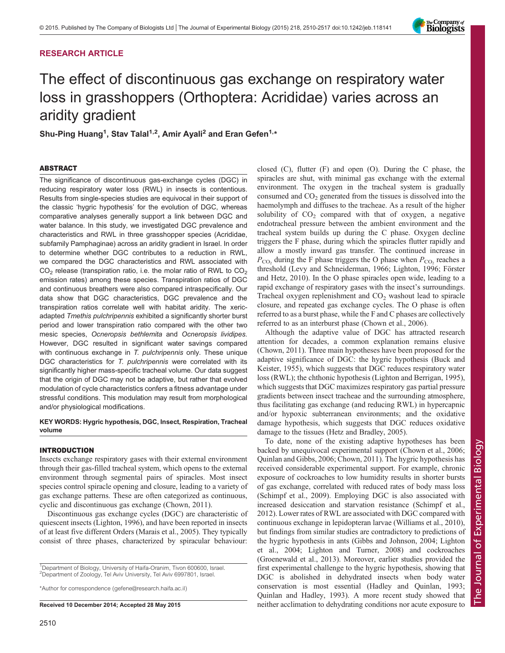# RESEARCH ARTICLE

# The effect of discontinuous gas exchange on respiratory water loss in grasshoppers (Orthoptera: Acrididae) varies across an aridity gradient

Shu-Ping Huang<sup>1</sup>, Stav Talal<sup>1,2</sup>, Amir Ayali<sup>2</sup> and Eran Gefen<sup>1,\*</sup>

# ABSTRACT

The significance of discontinuous gas-exchange cycles (DGC) in reducing respiratory water loss (RWL) in insects is contentious. Results from single-species studies are equivocal in their support of the classic 'hygric hypothesis' for the evolution of DGC, whereas comparative analyses generally support a link between DGC and water balance. In this study, we investigated DGC prevalence and characteristics and RWL in three grasshopper species (Acrididae, subfamily Pamphaginae) across an aridity gradient in Israel. In order to determine whether DGC contributes to a reduction in RWL, we compared the DGC characteristics and RWL associated with  $CO<sub>2</sub>$  release (transpiration ratio, i.e. the molar ratio of RWL to  $CO<sub>2</sub>$ emission rates) among these species. Transpiration ratios of DGC and continuous breathers were also compared intraspecifically. Our data show that DGC characteristics, DGC prevalence and the transpiration ratios correlate well with habitat aridity. The xericadapted Tmethis pulchripennis exhibited a significantly shorter burst period and lower transpiration ratio compared with the other two mesic species, Ocneropsis bethlemita and Ocneropsis lividipes. However, DGC resulted in significant water savings compared with continuous exchange in T. pulchripennis only. These unique DGC characteristics for T. pulchripennis were correlated with its significantly higher mass-specific tracheal volume. Our data suggest that the origin of DGC may not be adaptive, but rather that evolved modulation of cycle characteristics confers a fitness advantage under stressful conditions. This modulation may result from morphological and/or physiological modifications.

# KEY WORDS: Hygric hypothesis, DGC, Insect, Respiration, Tracheal volume

# INTRODUCTION

Insects exchange respiratory gases with their external environment through their gas-filled tracheal system, which opens to the external environment through segmental pairs of spiracles. Most insect species control spiracle opening and closure, leading to a variety of gas exchange patterns. These are often categorized as continuous, cyclic and discontinuous gas exchange [\(Chown, 2011](#page-6-0)).

Discontinuous gas exchange cycles (DGC) are characteristic of quiescent insects [\(Lighton, 1996\)](#page-6-0), and have been reported in insects of at least five different Orders ([Marais et al., 2005\)](#page-6-0). They typically consist of three phases, characterized by spiracular behaviour:

<sup>1</sup>Department of Biology, University of Haifa-Oranim, Tivon 600600, Israel. <sup>2</sup>Department of Zoology, Tel Aviv University, Tel Aviv 6997801, Israel.

\*Author for correspondence [\(gefene@research.haifa.ac.il](mailto:gefene@research.haifa.ac.il))

closed (C), flutter (F) and open (O). During the C phase, the spiracles are shut, with minimal gas exchange with the external environment. The oxygen in the tracheal system is gradually consumed and CO<sub>2</sub> generated from the tissues is dissolved into the haemolymph and diffuses to the tracheae. As a result of the higher solubility of  $CO<sub>2</sub>$  compared with that of oxygen, a negative endotracheal pressure between the ambient environment and the tracheal system builds up during the C phase. Oxygen decline triggers the F phase, during which the spiracles flutter rapidly and allow a mostly inward gas transfer. The continued increase in  $P_{\text{CO}_2}$  during the F phase triggers the O phase when  $P_{\text{CO}_2}$  reaches a threshold [\(Levy and Schneiderman, 1966](#page-6-0); [Lighton, 1996; Förster](#page-6-0) [and Hetz, 2010\)](#page-6-0). In the O phase spiracles open wide, leading to a rapid exchange of respiratory gases with the insect's surroundings. Tracheal oxygen replenishment and  $CO<sub>2</sub>$  washout lead to spiracle closure, and repeated gas exchange cycles. The O phase is often referred to as a burst phase, while the F and C phases are collectively referred to as an interburst phase ([Chown et al., 2006\)](#page-6-0).

Although the adaptive value of DGC has attracted research attention for decades, a common explanation remains elusive [\(Chown, 2011\)](#page-6-0). Three main hypotheses have been proposed for the adaptive significance of DGC: the hygric hypothesis [\(Buck and](#page-6-0) [Keister, 1955\)](#page-6-0), which suggests that DGC reduces respiratory water loss (RWL); the chthonic hypothesis [\(Lighton and Berrigan, 1995\)](#page-6-0), which suggests that DGC maximizes respiratory gas partial pressure gradients between insect tracheae and the surrounding atmosphere, thus facilitating gas exchange (and reducing RWL) in hypercapnic and/or hypoxic subterranean environments; and the oxidative damage hypothesis, which suggests that DGC reduces oxidative damage to the tissues ([Hetz and Bradley, 2005\)](#page-6-0).

To date, none of the existing adaptive hypotheses has been backed by unequivocal experimental support ([Chown et al., 2006](#page-6-0); [Quinlan and Gibbs, 2006](#page-6-0); [Chown, 2011\)](#page-6-0). The hygric hypothesis has received considerable experimental support. For example, chronic exposure of cockroaches to low humidity results in shorter bursts of gas exchange, correlated with reduced rates of body mass loss [\(Schimpf et al., 2009](#page-6-0)). Employing DGC is also associated with increased desiccation and starvation resistance ([Schimpf et al.,](#page-6-0) [2012\)](#page-6-0). Lower rates of RWL are associated with DGC compared with continuous exchange in lepidopteran larvae [\(Williams et al., 2010\)](#page-7-0), but findings from similar studies are contradictory to predictions of the hygric hypothesis in ants ([Gibbs and Johnson, 2004](#page-6-0); [Lighton](#page-6-0) [et al., 2004; Lighton and Turner, 2008](#page-6-0)) and cockroaches [\(Groenewald et al., 2013](#page-6-0)). Moreover, earlier studies provided the first experimental challenge to the hygric hypothesis, showing that DGC is abolished in dehydrated insects when body water conservation is most essential [\(Hadley and Quinlan, 1993](#page-6-0); [Quinlan and Hadley, 1993\)](#page-6-0). A more recent study showed that Received 10 December 2014; Accepted 28 May 2015 neither acclimation to dehydrating conditions nor acute exposure to

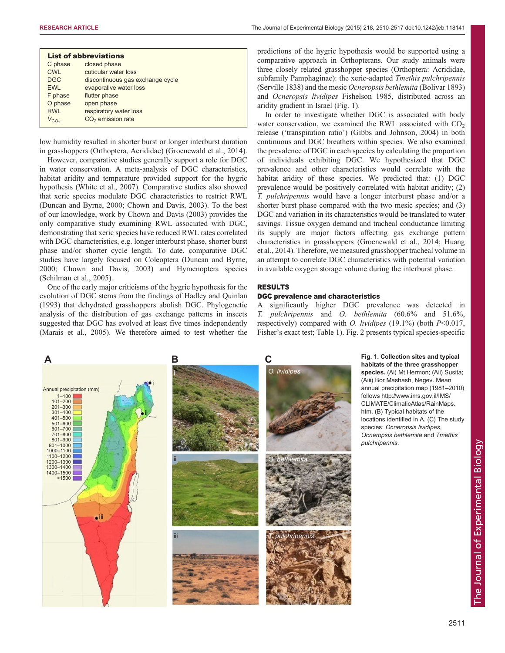<span id="page-1-0"></span>

|              | <b>List of abbreviations</b>     |
|--------------|----------------------------------|
| C phase      | closed phase                     |
| <b>CWL</b>   | cuticular water loss             |
| <b>DGC</b>   | discontinuous gas exchange cycle |
| <b>EWL</b>   | evaporative water loss           |
| F phase      | flutter phase                    |
| O phase      | open phase                       |
| <b>RWL</b>   | respiratory water loss           |
| $V_{\rm CO}$ | $CO2$ emission rate              |

low humidity resulted in shorter burst or longer interburst duration in grasshoppers (Orthoptera, Acrididae) ([Groenewald et al., 2014\)](#page-6-0).

However, comparative studies generally support a role for DGC in water conservation. A meta-analysis of DGC characteristics, habitat aridity and temperature provided support for the hygric hypothesis ([White et al., 2007](#page-7-0)). Comparative studies also showed that xeric species modulate DGC characteristics to restrict RWL [\(Duncan and Byrne, 2000](#page-6-0); [Chown and Davis, 2003](#page-6-0)). To the best of our knowledge, work by [Chown and Davis \(2003\)](#page-6-0) provides the only comparative study examining RWL associated with DGC, demonstrating that xeric species have reduced RWL rates correlated with DGC characteristics, e.g. longer interburst phase, shorter burst phase and/or shorter cycle length. To date, comparative DGC studies have largely focused on Coleoptera ([Duncan and Byrne,](#page-6-0) [2000](#page-6-0); [Chown and Davis, 2003\)](#page-6-0) and Hymenoptera species [\(Schilman et al., 2005\)](#page-6-0).

One of the early major criticisms of the hygric hypothesis for the evolution of DGC stems from the findings of [Hadley and Quinlan](#page-6-0) [\(1993\)](#page-6-0) that dehydrated grasshoppers abolish DGC. Phylogenetic analysis of the distribution of gas exchange patterns in insects suggested that DGC has evolved at least five times independently [\(Marais et al., 2005\)](#page-6-0). We therefore aimed to test whether the predictions of the hygric hypothesis would be supported using a comparative approach in Orthopterans. Our study animals were three closely related grasshopper species (Orthoptera: Acrididae, subfamily Pamphaginae): the xeric-adapted *Tmethis pulchripennis* (Serville 1838) and the mesic Ocneropsis bethlemita (Bolivar 1893) and Ocneropsis lividipes Fishelson 1985, distributed across an aridity gradient in Israel (Fig. 1).

In order to investigate whether DGC is associated with body water conservation, we examined the RWL associated with  $CO<sub>2</sub>$ release ('transpiration ratio') [\(Gibbs and Johnson, 2004\)](#page-6-0) in both continuous and DGC breathers within species. We also examined the prevalence of DGC in each species by calculating the proportion of individuals exhibiting DGC. We hypothesized that DGC prevalence and other characteristics would correlate with the habitat aridity of these species. We predicted that: (1) DGC prevalence would be positively correlated with habitat aridity; (2) T. pulchripennis would have a longer interburst phase and/or a shorter burst phase compared with the two mesic species; and (3) DGC and variation in its characteristics would be translated to water savings. Tissue oxygen demand and tracheal conductance limiting its supply are major factors affecting gas exchange pattern characteristics in grasshoppers ([Groenewald et al., 2014; Huang](#page-6-0) [et al., 2014](#page-6-0)). Therefore, we measured grasshopper tracheal volume in an attempt to correlate DGC characteristics with potential variation in available oxygen storage volume during the interburst phase.

# RESULTS

## DGC prevalence and characteristics

A significantly higher DGC prevalence was detected in T. pulchripennis and O. bethlemita (60.6% and 51.6%, respectively) compared with *O. lividipes* (19.1%) (both  $P<0.017$ , Fisher's exact test; [Table 1](#page-2-0)). [Fig. 2](#page-2-0) presents typical species-specific



Fig. 1. Collection sites and typical habitats of the three grasshopper species. (Ai) Mt Hermon; (Aii) Susita; (Aiii) Bor Mashash, Negev. Mean annual precipitation map (1981–2010) follows [http://www.ims.gov.il/IMS/](http://www.ims.gov.il/IMS/CLIMATE/ClimaticAtlas/RainMaps.htm) [CLIMATE/ClimaticAtlas/RainMaps.](http://www.ims.gov.il/IMS/CLIMATE/ClimaticAtlas/RainMaps.htm) [htm](http://www.ims.gov.il/IMS/CLIMATE/ClimaticAtlas/RainMaps.htm). (B) Typical habitats of the locations identified in A. (C) The study species: Ocneropsis lividipes, Ocneropsis bethlemita and Tmethis pulchripennis.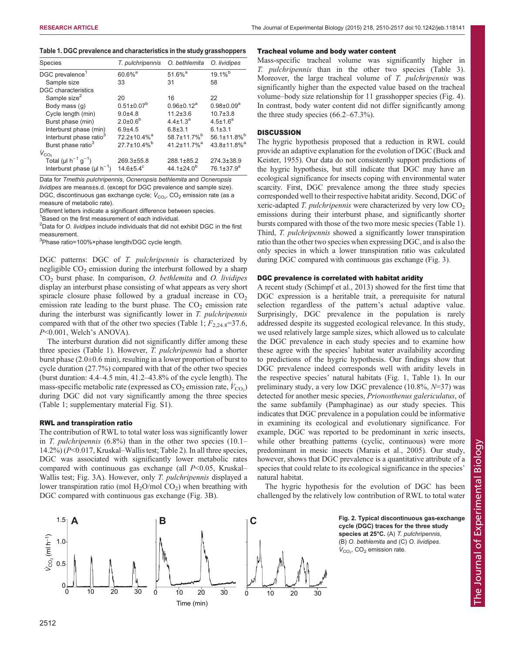<span id="page-2-0"></span>

| Table 1. DGC prevalence and characteristics in the study grasshoppers |
|-----------------------------------------------------------------------|
|-----------------------------------------------------------------------|

| Species                                           | T. pulchripennis               | O. bethlemita                  | O. lividipes               |
|---------------------------------------------------|--------------------------------|--------------------------------|----------------------------|
| DGC prevalence <sup>1</sup>                       | $60.6\%$ <sup>a</sup>          | $51.6\%$ <sup>a</sup>          | $19.1\%$ <sup>b</sup>      |
| Sample size                                       | 33                             | 31                             | 58                         |
| DGC characteristics                               |                                |                                |                            |
| Sample size <sup>2</sup>                          | 20                             | 16                             | 22                         |
| Body mass (q)                                     | $0.51 \pm 0.07^b$              | $0.96 \pm 0.12^a$              | $0.98 \pm 0.09^{\text{a}}$ |
| Cycle length (min)                                | $9.0 + 4.8$                    | $11.2 \pm 3.6$                 | $10.7 + 3.8$               |
| Burst phase (min)                                 | $2.0 \pm 0.6^b$                | $4.4 \pm 1.3^a$                | $4.5 \pm 1.6^a$            |
| Interburst phase (min)                            | $6.9 + 4.5$                    | $6.8 \pm 3.1$                  | $6.1 \pm 3.1$              |
| Interburst phase ratio <sup>3</sup>               | $72.2 \pm 10.4\%$ <sup>a</sup> | 58.7±11.7% <sup>b</sup>        | 56.1±11.8% <sup>b</sup>    |
| Burst phase ratio <sup>3</sup>                    | $27.7 \pm 10.4\%$ <sup>b</sup> | $41.2 \pm 11.7\%$ <sup>a</sup> | 43.8±11.8% <sup>a</sup>    |
| $V_{CO2}$                                         |                                |                                |                            |
| Total ( $\mu$ I h <sup>-1</sup> g <sup>-1</sup> ) | 269.3±55.8                     | $288.1 \pm 85.2$               | $274.3 \pm 38.9$           |
| Interburst phase (µl $h^{-1}$ )                   | $14.6 \pm 5.4^c$               | 44.1 $\pm$ 24.0 <sup>b</sup>   | 76.1±37.9 <sup>a</sup>     |

Data for Tmethis pulchripennis, Ocneropsis bethlemita and Ocneropsis lividipes are means±s.d. (except for DGC prevalence and sample size). DGC, discontinuous gas exchange cycle;  $\dot{V}_{{\rm CO}_2}$ , CO $_2$  emission rate (as a measure of metabolic rate).

Different letters indicate a significant difference between species.

<sup>1</sup>Based on the first measurement of each individual.

 $^{2}$ Data for O. *lividipes* include individuals that did not exhibit DGC in the first measurement.

<sup>3</sup>Phase ratio=100%×phase length/DGC cycle length.

DGC patterns: DGC of T. pulchripennis is characterized by negligible  $CO<sub>2</sub>$  emission during the interburst followed by a sharp  $CO<sub>2</sub>$  burst phase. In comparison, O. bethlemita and O. lividipes display an interburst phase consisting of what appears as very short spiracle closure phase followed by a gradual increase in  $CO<sub>2</sub>$ emission rate leading to the burst phase. The  $CO<sub>2</sub>$  emission rate during the interburst was significantly lower in T. pulchripennis compared with that of the other two species (Table 1;  $F_{2,24.8}$ =37.6, P<0.001, Welch's ANOVA).

The interburst duration did not significantly differ among these three species (Table 1). However, T. pulchripennis had a shorter burst phase  $(2.0\pm 0.6 \text{ min})$ , resulting in a lower proportion of burst to cycle duration (27.7%) compared with that of the other two species (burst duration: 4.4–4.5 min, 41.2–43.8% of the cycle length). The mass-specific metabolic rate (expressed as  $CO_2$  emission rate,  $\dot{V}_{\rm CO_2}$ ) during DGC did not vary significantly among the three species (Table 1; [supplementary material Fig. S1\)](http://jeb.biologists.org/lookup/suppl/doi:10.1242/jeb.118141/-/DC1).

## RWL and transpiration ratio

The contribution of RWL to total water loss was significantly lower in T. pulchripennis  $(6.8\%)$  than in the other two species  $(10.1-$ 14.2%) (P<0.017, Kruskal–Wallis test; [Table 2](#page-3-0)). In all three species, DGC was associated with significantly lower metabolic rates compared with continuous gas exchange (all  $P<0.05$ , Kruskal– Wallis test; [Fig. 3](#page-3-0)A). However, only T. pulchripennis displayed a lower transpiration ratio (mol  $H_2O/mol CO_2$ ) when breathing with DGC compared with continuous gas exchange [\(Fig. 3B](#page-3-0)).

## Tracheal volume and body water content

Mass-specific tracheal volume was significantly higher in T. pulchripennis than in the other two species ([Table 3\)](#page-3-0). Moreover, the large tracheal volume of T. pulchripennis was significantly higher than the expected value based on the tracheal volume–body size relationship for 11 grasshopper species [\(Fig. 4\)](#page-3-0). In contrast, body water content did not differ significantly among the three study species (66.2–67.3%).

# **DISCUSSION**

The hygric hypothesis proposed that a reduction in RWL could provide an adaptive explanation for the evolution of DGC ([Buck and](#page-6-0) [Keister, 1955\)](#page-6-0). Our data do not consistently support predictions of the hygric hypothesis, but still indicate that DGC may have an ecological significance for insects coping with environmental water scarcity. First, DGC prevalence among the three study species corresponded well to their respective habitat aridity. Second, DGC of xeric-adapted T. pulchripennis were characterized by very low  $CO<sub>2</sub>$ emissions during their interburst phase, and significantly shorter bursts compared with those of the two more mesic species (Table 1). Third, T. pulchripennis showed a significantly lower transpiration ratio than the other two species when expressing DGC, and is also the only species in which a lower transpiration ratio was calculated during DGC compared with continuous gas exchange [\(Fig. 3](#page-3-0)).

## DGC prevalence is correlated with habitat aridity

A recent study ([Schimpf et al., 2013](#page-6-0)) showed for the first time that DGC expression is a heritable trait, a prerequisite for natural selection regardless of the pattern's actual adaptive value. Surprisingly, DGC prevalence in the population is rarely addressed despite its suggested ecological relevance. In this study, we used relatively large sample sizes, which allowed us to calculate the DGC prevalence in each study species and to examine how these agree with the species' habitat water availability according to predictions of the hygric hypothesis. Our findings show that DGC prevalence indeed corresponds well with aridity levels in the respective species' natural habitats ([Fig. 1](#page-1-0), Table 1). In our preliminary study, a very low DGC prevalence  $(10.8\%, N=37)$  was detected for another mesic species, Prionosthenus galericulatus, of the same subfamily (Pamphaginae) as our study species. This indicates that DGC prevalence in a population could be informative in examining its ecological and evolutionary significance. For example, DGC was reported to be predominant in xeric insects, while other breathing patterns (cyclic, continuous) were more predominant in mesic insects ([Marais et al., 2005](#page-6-0)). Our study, however, shows that DGC prevalence is a quantitative attribute of a species that could relate to its ecological significance in the species' natural habitat.

The hygric hypothesis for the evolution of DGC has been challenged by the relatively low contribution of RWL to total water



Fig. 2. Typical discontinuous gas-exchange cycle (DGC) traces for the three study species at 25°C. (A) T. pulchripennis, (B) O. bethlemita and (C) O. lividipes.  $\dot{V}_{\rm CO_2}$ , CO<sub>2</sub> emission rate.

The Journal of Experimental Biology

The Journal of Experimental

Biology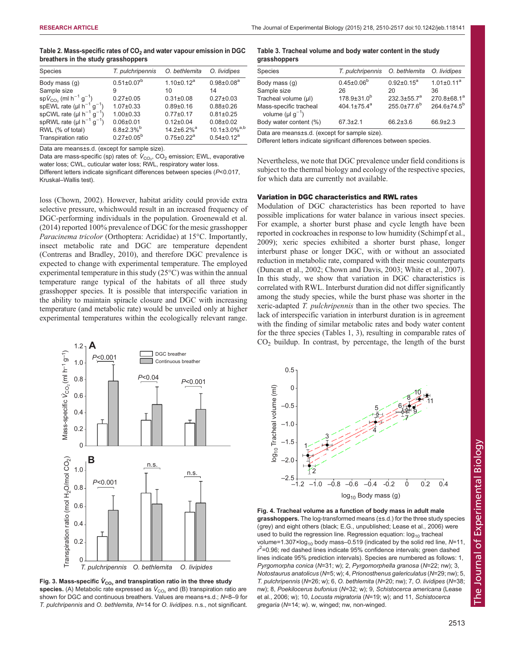<span id="page-3-0"></span>

| Table 2. Mass-specific rates of CO <sub>2</sub> and water vapour emission in DGC |  |
|----------------------------------------------------------------------------------|--|
| breathers in the study grasshoppers                                              |  |

| Species                                                | T. pulchripennis             | O. bethlemita                 | O. lividipes                    |
|--------------------------------------------------------|------------------------------|-------------------------------|---------------------------------|
| Body mass (q)                                          | $0.51 \pm 0.07^b$            | $1.10 \pm 0.12^a$             | $0.98 \pm 0.08^a$               |
| Sample size                                            | 9                            | 10                            | 14                              |
| $spV_{CO_2}$ (ml h <sup>-1</sup> g <sup>-1</sup> )     | $0.27 \pm 0.05$              | $0.31 \pm 0.08$               | $0.27 \pm 0.03$                 |
| spEWL rate ( $\mu$ I h <sup>-1</sup> g <sup>-1</sup> ) | $1.07 \pm 0.33$              | $0.89 + 0.16$                 | $0.88 + 0.26$                   |
| spCWL rate ( $\mu$ l h <sup>-1</sup> g <sup>-1</sup> ) | $1.00 \pm 0.33$              | $0.77 + 0.17$                 | $0.81 \pm 0.25$                 |
| spRWL rate ( $\mu$ I h <sup>-1</sup> g <sup>-1</sup> ) | $0.06 + 0.01$                | $0.12 \pm 0.04$               | $0.08 + 0.02$                   |
| RWL (% of total)                                       | $6.8{\pm}2.3\%$ <sup>b</sup> | $14.2 \pm 6.2\%$ <sup>a</sup> | $10.1 \pm 3.0\%$ <sup>a,b</sup> |
| Transpiration ratio                                    | $0.27 \pm 0.05^b$            | $0.75 \pm 0.22^a$             | $0.54 \pm 0.12^a$               |
|                                                        |                              |                               |                                 |

Data are means±s.d. (except for sample size).

Data are mass-specific (sp) rates of:  $\dot{V}_{\rm CO_2}$ , CO<sub>2</sub> emission; EWL, evaporative water loss; CWL, cuticular water loss; RWL, respiratory water loss.

Different letters indicate significant differences between species (P<0.017, Kruskal–Wallis test).

loss ([Chown, 2002\)](#page-6-0). However, habitat aridity could provide extra selective pressure, whichwould result in an increased frequency of DGC-performing individuals in the population. [Groenewald et al.](#page-6-0) [\(2014\)](#page-6-0) reported 100% prevalence of DGC for the mesic grasshopper Paracinema tricolor (Orthoptera: Acrididae) at 15°C. Importantly, insect metabolic rate and DGC are temperature dependent [\(Contreras and Bradley, 2010](#page-6-0)), and therefore DGC prevalence is expected to change with experimental temperature. The employed experimental temperature in this study (25°C) was within the annual temperature range typical of the habitats of all three study grasshopper species. It is possible that interspecific variation in the ability to maintain spiracle closure and DGC with increasing temperature (and metabolic rate) would be unveiled only at higher experimental temperatures within the ecologically relevant range.



Fig. 3. Mass-specific  $\dot{\boldsymbol{V}}_{\text{CO}_2}$  and transpiration ratio in the three study species. (A) Metabolic rate expressed as  $\dot{V}_{\rm CO_2}$  and (B) transpiration ratio are shown for DGC and continuous breathers. Values are means+s.d.; N=8–9 for T. pulchripennis and O. bethlemita, N=14 for O. lividipes. n.s., not significant.

# Table 3. Tracheal volume and body water content in the study grasshoppers

| Species                                                      | T. pulchripennis O. bethlemita |                    | O. lividipes            |
|--------------------------------------------------------------|--------------------------------|--------------------|-------------------------|
| Body mass (q)                                                | $0.45 \pm 0.06^b$              | $0.92 \pm 0.15^a$  | $1.01 \pm 0.11^a$       |
| Sample size                                                  | 26                             | 20                 | 36                      |
| Tracheal volume (µl)                                         | $178.9 \pm 31.0^b$             | $232.3 \pm 55.7^a$ | 270.8±68.1 <sup>a</sup> |
| Mass-specific tracheal<br>volume ( $\mu$ l g <sup>-1</sup> ) | 404.1 $\pm$ 75.4 $a$           | $255.0 \pm 77.6^b$ | 264.6±74.5 <sup>b</sup> |
| Body water content (%)                                       | $67.3 \pm 2.1$                 | $66.2 \pm 3.6$     | 66.9±2.3                |
|                                                              |                                |                    |                         |

Data are means±s.d. (except for sample size).

Different letters indicate significant differences between species.

Nevertheless, we note that DGC prevalence under field conditions is subject to the thermal biology and ecology of the respective species, for which data are currently not available.

## Variation in DGC characteristics and RWL rates

Modulation of DGC characteristics has been reported to have possible implications for water balance in various insect species. For example, a shorter burst phase and cycle length have been reported in cockroaches in response to low humidity [\(Schimpf et al.,](#page-6-0) [2009\)](#page-6-0); xeric species exhibited a shorter burst phase, longer interburst phase or longer DGC, with or without an associated reduction in metabolic rate, compared with their mesic counterparts [\(Duncan et al., 2002](#page-6-0); [Chown and Davis, 2003;](#page-6-0) [White et al., 2007\)](#page-7-0). In this study, we show that variation in DGC characteristics is correlated with RWL. Interburst duration did not differ significantly among the study species, while the burst phase was shorter in the xeric-adapted T. pulchripennis than in the other two species. The lack of interspecific variation in interburst duration is in agreement with the finding of similar metabolic rates and body water content for the three species ([Tables 1](#page-2-0), 3), resulting in comparable rates of  $CO<sub>2</sub>$  buildup. In contrast, by percentage, the length of the burst



Fig. 4. Tracheal volume as a function of body mass in adult male grasshoppers. The log-transformed means (±s.d.) for the three study species (grey) and eight others (black; E.G., unpublished; [Lease et al., 2006](#page-6-0)) were used to build the regression line. Regression equation:  $log_{10}$  tracheal volume=1.307×log<sub>10</sub> body mass–0.519 (indicated by the solid red line,  $N=11$ ,  $r^2$ =0.96; red dashed lines indicate 95% confidence intervals; green dashed lines indicate 95% prediction intervals). Species are numbered as follows: 1, Pyrgomorpha conica (N=31; w); 2, Pyrgomorphella granosa (N=22; nw); 3, Notostaurus anatolicus (N=5; w); 4, Prionosthenus galericulatus (N=29; nw); 5, T. pulchripennis (N=26; w); 6, O. bethlemita (N=20; nw); 7, O. lividipes (N=38; nw); 8, Poekilocerus bufonius (N=32; w); 9, Schistocerca americana ([Lease](#page-6-0) [et al., 2006;](#page-6-0) w); 10, Locusta migratoria (N=19; w); and 11, Schistocerca gregaria (N=14; w). w, winged; nw, non-winged.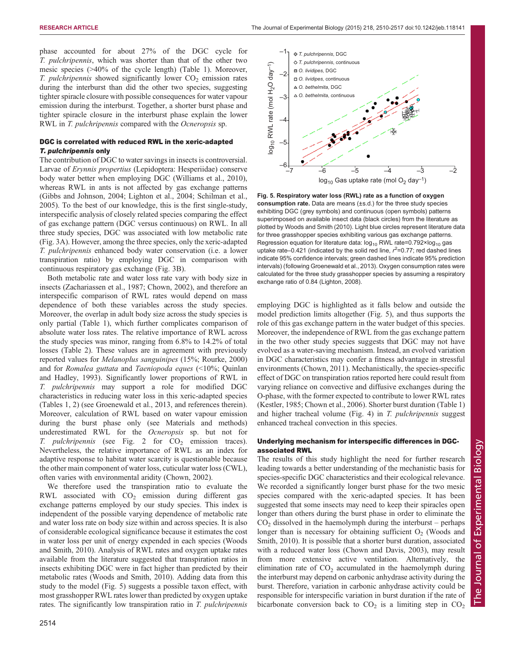*T. pulchripennis*, DGC

–1

phase accounted for about 27% of the DGC cycle for T. pulchripennis, which was shorter than that of the other two mesic species (>40% of the cycle length) [\(Table 1](#page-2-0)). Moreover, T. pulchripennis showed significantly lower  $CO<sub>2</sub>$  emission rates during the interburst than did the other two species, suggesting tighter spiracle closure with possible consequences for water vapour emission during the interburst. Together, a shorter burst phase and tighter spiracle closure in the interburst phase explain the lower RWL in T. pulchripennis compared with the Ocneropsis sp.

# DGC is correlated with reduced RWL in the xeric-adapted T. pulchripennis only

The contribution of DGC to water savings in insects is controversial. Larvae of Erynnis propertius (Lepidoptera: Hesperiidae) conserve body water better when employing DGC ([Williams et al., 2010\)](#page-7-0), whereas RWL in ants is not affected by gas exchange patterns [\(Gibbs and Johnson, 2004](#page-6-0); [Lighton et al., 2004](#page-6-0); [Schilman et al.,](#page-6-0) [2005](#page-6-0)). To the best of our knowledge, this is the first single-study, interspecific analysis of closely related species comparing the effect of gas exchange pattern (DGC versus continuous) on RWL. In all three study species, DGC was associated with low metabolic rate [\(Fig. 3A](#page-3-0)). However, among the three species, only the xeric-adapted T. pulchripennis enhanced body water conservation (i.e. a lower transpiration ratio) by employing DGC in comparison with continuous respiratory gas exchange [\(Fig. 3B](#page-3-0)).

Both metabolic rate and water loss rate vary with body size in insects [\(Zachariassen et al., 1987;](#page-7-0) [Chown, 2002](#page-6-0)), and therefore an interspecific comparison of RWL rates would depend on mass dependence of both these variables across the study species. Moreover, the overlap in adult body size across the study species is only partial ([Table 1\)](#page-2-0), which further complicates comparison of absolute water loss rates. The relative importance of RWL across the study species was minor, ranging from 6.8% to 14.2% of total losses [\(Table 2](#page-3-0)). These values are in agreement with previously reported values for Melanoplus sanguinipes (15%; [Rourke, 2000\)](#page-6-0) and for Romalea guttata and Taeniopoda eques (<10%; [Quinlan](#page-6-0) [and Hadley, 1993\)](#page-6-0). Significantly lower proportions of RWL in T. pulchripennis may support a role for modified DGC characteristics in reducing water loss in this xeric-adapted species [\(Tables 1](#page-2-0), [2](#page-3-0)) (see [Groenewald et al., 2013,](#page-6-0) and references therein). Moreover, calculation of RWL based on water vapour emission during the burst phase only (see Materials and methods) underestimated RWL for the Ocneropsis sp. but not for *T. pulchripennis* (see Fig. 2 for  $CO<sub>2</sub>$  emission traces). Nevertheless, the relative importance of RWL as an index for adaptive response to habitat water scarcity is questionable because the other main component of water loss, cuticular water loss (CWL), often varies with environmental aridity ([Chown, 2002\)](#page-6-0).

We therefore used the transpiration ratio to evaluate the RWL associated with  $CO<sub>2</sub>$  emission during different gas exchange patterns employed by our study species. This index is independent of the possible varying dependence of metabolic rate and water loss rate on body size within and across species. It is also of considerable ecological significance because it estimates the cost in water loss per unit of energy expended in each species ([Woods](#page-7-0) [and Smith, 2010\)](#page-7-0). Analysis of RWL rates and oxygen uptake rates available from the literature suggested that transpiration ratios in insects exhibiting DGC were in fact higher than predicted by their metabolic rates ([Woods and Smith, 2010\)](#page-7-0). Adding data from this study to the model (Fig. 5) suggests a possible taxon effect, with most grasshopper RWL rates lower than predicted by oxygen uptake rates. The significantly low transpiration ratio in T. *pulchripennis* 



Fig. 5. Respiratory water loss (RWL) rate as a function of oxygen consumption rate. Data are means (±s.d.) for the three study species exhibiting DGC (grey symbols) and continuous (open symbols) patterns superimposed on available insect data (black circles) from the literature as plotted by [Woods and Smith \(2010\).](#page-7-0) Light blue circles represent literature data for three grasshopper species exhibiting various gas exchange patterns. Regression equation for literature data:  $log_{10}$  RWL rate=0.792×log<sub>10</sub> gas uptake rate–0.421 (indicated by the solid red line,  $r^2$ =0.77; red dashed lines indicate 95% confidence intervals; green dashed lines indicate 95% prediction intervals) (following [Groenewald et al., 2013\)](#page-6-0). Oxygen consumption rates were calculated for the three study grasshopper species by assuming a respiratory exchange ratio of 0.84 ([Lighton, 2008\)](#page-6-0).

employing DGC is highlighted as it falls below and outside the model prediction limits altogether (Fig. 5), and thus supports the role of this gas exchange pattern in the water budget of this species. Moreover, the independence of RWL from the gas exchange pattern in the two other study species suggests that DGC may not have evolved as a water-saving mechanism. Instead, an evolved variation in DGC characteristics may confer a fitness advantage in stressful environments [\(Chown, 2011](#page-6-0)). Mechanistically, the species-specific effect of DGC on transpiration ratios reported here could result from varying reliance on convective and diffusive exchanges during the O-phase, with the former expected to contribute to lower RWL rates [\(Kestler, 1985](#page-6-0); [Chown et al., 2006\)](#page-6-0). Shorter burst duration [\(Table 1\)](#page-2-0) and higher tracheal volume [\(Fig. 4](#page-3-0)) in T. pulchripennis suggest enhanced tracheal convection in this species.

# Underlying mechanism for interspecific differences in DGCassociated RWL

The results of this study highlight the need for further research leading towards a better understanding of the mechanistic basis for species-specific DGC characteristics and their ecological relevance. We recorded a significantly longer burst phase for the two mesic species compared with the xeric-adapted species. It has been suggested that some insects may need to keep their spiracles open longer than others during the burst phase in order to eliminate the  $CO<sub>2</sub>$  dissolved in the haemolymph during the interburst – perhaps longer than is necessary for obtaining sufficient  $O<sub>2</sub>$  [\(Woods and](#page-7-0) [Smith, 2010](#page-7-0)). It is possible that a shorter burst duration, associated with a reduced water loss [\(Chown and Davis, 2003](#page-6-0)), may result from more extensive active ventilation. Alternatively, the elimination rate of  $CO<sub>2</sub>$  accumulated in the haemolymph during the interburst may depend on carbonic anhydrase activity during the burst. Therefore, variation in carbonic anhydrase activity could be responsible for interspecific variation in burst duration if the rate of bicarbonate conversion back to  $CO<sub>2</sub>$  is a limiting step in  $CO<sub>2</sub>$ 

 $-2$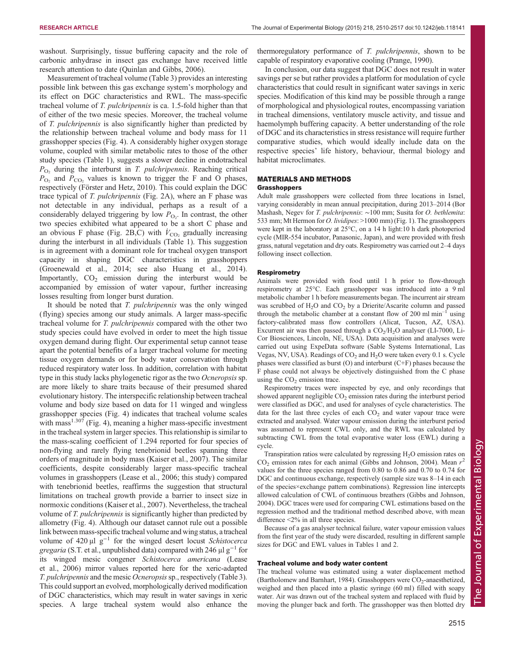washout. Surprisingly, tissue buffering capacity and the role of carbonic anhydrase in insect gas exchange have received little research attention to date [\(Quinlan and Gibbs, 2006\)](#page-6-0).

Measurement of tracheal volume ([Table 3](#page-3-0)) provides an interesting possible link between this gas exchange system's morphology and its effect on DGC characteristics and RWL. The mass-specific tracheal volume of T. pulchripennis is ca. 1.5-fold higher than that of either of the two mesic species. Moreover, the tracheal volume of T. pulchripennis is also significantly higher than predicted by the relationship between tracheal volume and body mass for 11 grasshopper species [\(Fig. 4\)](#page-3-0). A considerably higher oxygen storage volume, coupled with similar metabolic rates to those of the other study species [\(Table 1](#page-2-0)), suggests a slower decline in endotracheal  $P_{\text{O}_2}$  during the interburst in T. pulchripennis. Reaching critical  $P_{\text{O}_2}$  and  $P_{\text{CO}_2}$  values is known to trigger the F and O phases, respectively ([Förster and Hetz, 2010](#page-6-0)). This could explain the DGC trace typical of T. pulchripennis ([Fig. 2A](#page-2-0)), where an F phase was not detectable in any individual, perhaps as a result of a considerably delayed triggering by low  $P_{\text{O}_2}$ . In contrast, the other two species exhibited what appeared to be a short C phase and an obvious F phase [\(Fig. 2](#page-2-0)B,C) with  $\dot{V}_{\text{CO}_2}$  gradually increasing during the interburst in all individuals ([Table 1\)](#page-2-0). This suggestion is in agreement with a dominant role for tracheal oxygen transport capacity in shaping DGC characteristics in grasshoppers [\(Groenewald et al., 2014;](#page-6-0) see also [Huang et al., 2014\)](#page-6-0). Importantly,  $CO<sub>2</sub>$  emission during the interburst would be accompanied by emission of water vapour, further increasing losses resulting from longer burst duration.

It should be noted that T. pulchripennis was the only winged (flying) species among our study animals. A larger mass-specific tracheal volume for T. pulchripennis compared with the other two study species could have evolved in order to meet the high tissue oxygen demand during flight. Our experimental setup cannot tease apart the potential benefits of a larger tracheal volume for meeting tissue oxygen demands or for body water conservation through reduced respiratory water loss. In addition, correlation with habitat type in this study lacks phylogenetic rigor as the two Ocneropsis sp. are more likely to share traits because of their presumed shared evolutionary history. The interspecific relationship between tracheal volume and body size based on data for 11 winged and wingless grasshopper species [\(Fig. 4](#page-3-0)) indicates that tracheal volume scales with mass<sup>1.307</sup> ([Fig. 4\)](#page-3-0), meaning a higher mass-specific investment in the tracheal system in larger species. This relationship is similar to the mass-scaling coefficient of 1.294 reported for four species of non-flying and rarely flying tenebrionid beetles spanning three orders of magnitude in body mass [\(Kaiser et al., 2007](#page-6-0)). The similar coefficients, despite considerably larger mass-specific tracheal volumes in grasshoppers ([Lease et al., 2006](#page-6-0); this study) compared with tenebrionid beetles, reaffirms the suggestion that structural limitations on tracheal growth provide a barrier to insect size in normoxic conditions [\(Kaiser et al., 2007](#page-6-0)). Nevertheless, the tracheal volume of T. pulchripennis is significantly higher than predicted by allometry ([Fig. 4](#page-3-0)). Although our dataset cannot rule out a possible link between mass-specific tracheal volume and wing status, a tracheal volume of 420  $\mu$ l g<sup>-1</sup> for the winged desert locust Schistocerca gregaria (S.T. et al., unpublished data) compared with 246  $\mu$ l g<sup>-1</sup> for its winged mesic congener Schistocerca americana [\(Lease](#page-6-0) [et al., 2006](#page-6-0)) mirror values reported here for the xeric-adapted T. pulchripennis and the mesic Ocneropsissp., respectively [\(Table 3\)](#page-3-0). This could support an evolved, morphologically derived modification of DGC characteristics, which may result in water savings in xeric species. A large tracheal system would also enhance the

thermoregulatory performance of T. pulchripennis, shown to be capable of respiratory evaporative cooling ([Prange, 1990\)](#page-6-0).

In conclusion, our data suggest that DGC does not result in water savings per se but rather provides a platform for modulation of cycle characteristics that could result in significant water savings in xeric species. Modification of this kind may be possible through a range of morphological and physiological routes, encompassing variation in tracheal dimensions, ventilatory muscle activity, and tissue and haemolymph buffering capacity. A better understanding of the role of DGC and its characteristics in stress resistance will require further comparative studies, which would ideally include data on the respective species' life history, behaviour, thermal biology and habitat microclimates.

## MATERIALS AND METHODS

### **Grasshoppers**

Adult male grasshoppers were collected from three locations in Israel, varying considerably in mean annual precipitation, during 2013–2014 (Bor Mashash, Negev for T. pulchripennis: ~100 mm; Susita for O. bethlemita: 533 mm; Mt Hermon for *O. lividipes*: >1000 mm) ([Fig. 1\)](#page-1-0). The grasshoppers were kept in the laboratory at 25°C, on a 14 h light:10 h dark photoperiod cycle (MIR-554 incubator, Panasonic, Japan), and were provided with fresh grass, natural vegetation and dry oats. Respirometry was carried out 2–4 days following insect collection.

## **Respirometry**

Animals were provided with food until 1 h prior to flow-through respirometry at 25°C. Each grasshopper was introduced into a 9 ml metabolic chamber 1 h before measurements began. The incurrent air stream was scrubbed of  $H_2O$  and  $CO_2$  by a Drierite/Ascarite column and passed through the metabolic chamber at a constant flow of 200 ml  $min^{-1}$  using factory-calibrated mass flow controllers (Alicat, Tucson, AZ, USA). Excurrent air was then passed through a  $CO<sub>2</sub>/H<sub>2</sub>O$  analyser (LI-7000, Li-Cor Biosciences, Lincoln, NE, USA). Data acquisition and analyses were carried out using ExpeData software (Sable Systems International, Las Vegas, NV, USA). Readings of  $CO<sub>2</sub>$  and  $H<sub>2</sub>O$  were taken every 0.1 s. Cycle phases were classified as burst (O) and interburst (C+F) phases because the F phase could not always be objectively distinguished from the C phase using the  $CO<sub>2</sub>$  emission trace.

Respirometry traces were inspected by eye, and only recordings that showed apparent negligible  $CO<sub>2</sub>$  emission rates during the interburst period were classified as DGC, and used for analyses of cycle characteristics. The data for the last three cycles of each  $CO<sub>2</sub>$  and water vapour trace were extracted and analysed. Water vapour emission during the interburst period was assumed to represent CWL only, and the RWL was calculated by subtracting CWL from the total evaporative water loss (EWL) during a cycle.

Transpiration ratios were calculated by regressing  $H_2O$  emission rates on  $CO<sub>2</sub>$  emission rates for each animal ([Gibbs and Johnson, 2004](#page-6-0)). Mean  $r<sup>2</sup>$ values for the three species ranged from 0.80 to 0.86 and 0.70 to 0.74 for DGC and continuous exchange, respectively (sample size was 8–14 in each of the species×exchange pattern combinations). Regression line intercepts allowed calculation of CWL of continuous breathers [\(Gibbs and Johnson,](#page-6-0) [2004\)](#page-6-0). DGC traces were used for comparing CWL estimations based on the regression method and the traditional method described above, with mean difference <2% in all three species.

Because of a gas analyser technical failure, water vapour emission values from the first year of the study were discarded, resulting in different sample sizes for DGC and EWL values in [Tables 1](#page-2-0) and [2](#page-3-0).

## Tracheal volume and body water content

The tracheal volume was estimated using a water displacement method ([Bartholomew and Barnhart, 1984\)](#page-6-0). Grasshoppers were  $CO_2$ -anaesthetized, weighed and then placed into a plastic syringe (60 ml) filled with soapy water. Air was drawn out of the tracheal system and replaced with fluid by moving the plunger back and forth. The grasshopper was then blotted dry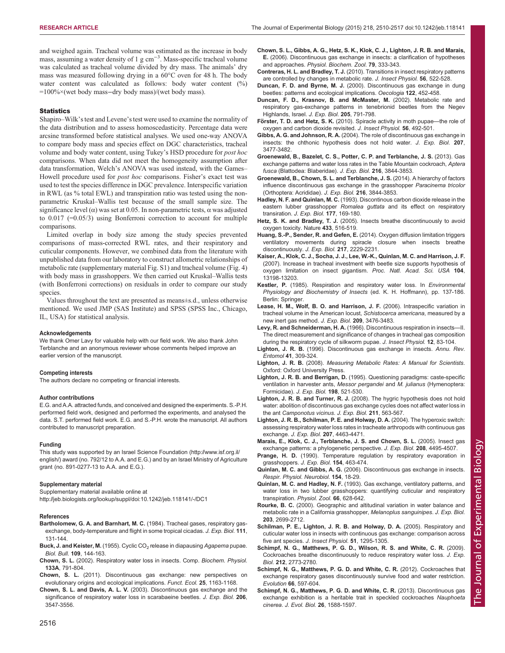<span id="page-6-0"></span>and weighed again. Tracheal volume was estimated as the increase in body mass, assuming a water density of 1 g cm<sup>-3</sup>. Mass-specific tracheal volume was calculated as tracheal volume divided by dry mass. The animals' dry mass was measured following drying in a 60°C oven for 48 h. The body water content was calculated as follows: body water content (%) =100%×(wet body mass−dry body mass)/(wet body mass).

## **Statistics**

Shapiro–Wilk's test and Levene's test were used to examine the normality of the data distribution and to assess homoscedasticity. Percentage data were arcsine transformed before statistical analyses. We used one-way ANOVA to compare body mass and species effect on DGC characteristics, tracheal volume and body water content, using Tukey's HSD procedure for post hoc comparisons. When data did not meet the homogeneity assumption after data transformation, Welch's ANOVA was used instead, with the Games– Howell procedure used for post hoc comparisons. Fisher's exact test was used to test the species difference in DGC prevalence. Interspecific variation in RWL (as % total EWL) and transpiration ratio was tested using the nonparametric Kruskal–Wallis test because of the small sample size. The significance level  $(\alpha)$  was set at 0.05. In non-parametric tests,  $\alpha$  was adjusted to 0.017 (=0.05/3) using Bonferroni correction to account for multiple comparisons.

Limited overlap in body size among the study species prevented comparisons of mass-corrected RWL rates, and their respiratory and cuticular components. However, we combined data from the literature with unpublished data from our laboratory to construct allometric relationships of metabolic rate [\(supplementary material Fig. S1\)](http://jeb.biologists.org/lookup/suppl/doi:10.1242/jeb.118141/-/DC1) and tracheal volume [\(Fig. 4](#page-3-0)) with body mass in grasshoppers. We then carried out Kruskal–Wallis tests (with Bonferroni corrections) on residuals in order to compare our study species.

Values throughout the text are presented as means±s.d., unless otherwise mentioned. We used JMP (SAS Institute) and SPSS (SPSS Inc., Chicago, IL, USA) for statistical analysis.

#### Acknowledgements

We thank Omer Lavy for valuable help with our field work. We also thank John Terblanche and an anonymous reviewer whose comments helped improve an earlier version of the manuscript.

#### Competing interests

The authors declare no competing or financial interests.

#### Author contributions

E.G. and A.A. attracted funds, and conceived and designed the experiments. S.-P.H. performed field work, designed and performed the experiments, and analysed the data. S.T. performed field work. E.G. and S.-P.H. wrote the manuscript. All authors contributed to manuscript preparation.

#### Funding

This study was supported by an Israel Science Foundation ([http://www.isf.org.il/](http://www.isf.org.il/english/) [english/\)](http://www.isf.org.il/english/) award (no. 792/12 to A.A. and E.G.) and by an Israel Ministry of Agriculture grant (no. 891-0277-13 to A.A. and E.G.).

### Supplementary material

Supplementary material available online at <http://jeb.biologists.org/lookup/suppl/doi:10.1242/jeb.118141/-/DC1>

#### References

- Bartholomew, G. A. and Barnhart, M. C. (1984). Tracheal gases, respiratory gasexchange, body-temperature and flight in some tropical cicadas. J. Exp. Biol. 111, 131-144.
- [Buck, J. and Keister, M.](http://dx.doi.org/10.2307/1538666) (1955). Cyclic CO<sub>2</sub> [release in diapausing](http://dx.doi.org/10.2307/1538666) Agapema pupae. Biol. Bull. 109[, 144-163.](http://dx.doi.org/10.2307/1538666)
- Chown, S. L. [\(2002\). Respiratory water loss in insects. Comp.](http://dx.doi.org/10.1016/S1095-6433(02)00200-3) Biochem. Physiol. 133A[, 791-804.](http://dx.doi.org/10.1016/S1095-6433(02)00200-3)
- Chown, S. L. [\(2011\). Discontinuous gas exchange: new perspectives on](http://dx.doi.org/10.1111/j.1365-2435.2011.01879.x) [evolutionary origins and ecological implications.](http://dx.doi.org/10.1111/j.1365-2435.2011.01879.x) Funct. Ecol. 25, 1163-1168.
- Chown, S. L. and Davis, A. L. V. [\(2003\). Discontinuous gas exchange and the](http://dx.doi.org/10.1242/jeb.00603) [significance of respiratory water loss in scarabaeine beetles.](http://dx.doi.org/10.1242/jeb.00603) J. Exp. Biol. 206, [3547-3556.](http://dx.doi.org/10.1242/jeb.00603)
- [Chown, S. L., Gibbs, A. G., Hetz, S. K., Klok, C. J., Lighton, J. R. B. and Marais,](http://dx.doi.org/10.1086/499992) E. [\(2006\). Discontinuous gas exchange in insects: a clarification of hypotheses](http://dx.doi.org/10.1086/499992) and approaches. [Physiol. Biochem. Zool.](http://dx.doi.org/10.1086/499992) 79, 333-343.
- Contreras, H. L. and Bradley, T. J. [\(2010\). Transitions in insect respiratory patterns](http://dx.doi.org/10.1016/j.jinsphys.2009.05.018) [are controlled by changes in metabolic rate.](http://dx.doi.org/10.1016/j.jinsphys.2009.05.018) J. Insect Physiol. 56, 522-528.
- Duncan, F. D. and Byrne, M. J. [\(2000\). Discontinuous gas exchange in dung](http://dx.doi.org/10.1007/s004420050966) [beetles: patterns and ecological implications.](http://dx.doi.org/10.1007/s004420050966) Oecologia 122, 452-458.
- Duncan, F. D., Krasnov, B. and McMaster, M. (2002). Metabolic rate and respiratory gas-exchange patterns in tenebrionid beetles from the Negev Highlands, Israel. J. Exp. Biol. 205, 791-798.
- Förster, T. D. and Hetz, S. K. [\(2010\). Spiracle activity in moth pupae](http://dx.doi.org/10.1016/j.jinsphys.2009.06.003)—the role of [oxygen and carbon dioxide revisited.](http://dx.doi.org/10.1016/j.jinsphys.2009.06.003) J. Insect Physiol. 56, 492-501.
- Gibbs, A. G. and Johnson, R. A. [\(2004\). The role of discontinuous gas exchange in](http://dx.doi.org/10.1242/jeb.01168) [insects: the chthonic hypothesis does not hold water.](http://dx.doi.org/10.1242/jeb.01168) J. Exp. Biol. 207, [3477-3482.](http://dx.doi.org/10.1242/jeb.01168)
- [Groenewald, B., Bazelet, C. S., Potter, C. P. and Terblanche, J. S.](http://dx.doi.org/10.1242/jeb.091199) (2013). Gas [exchange patterns and water loss rates in the Table Mountain cockroach,](http://dx.doi.org/10.1242/jeb.091199) Aptera fusca [\(Blattodea: Blaberidae\).](http://dx.doi.org/10.1242/jeb.091199) J. Exp. Biol. 216, 3844-3853.
- [Groenewald, B., Chown, S. L. and Terblanche, J. S.](http://dx.doi.org/10.1242/jeb.102814) (2014). A hierarchy of factors [influence discontinuous gas exchange in the grasshopper](http://dx.doi.org/10.1242/jeb.102814) Paracinema tricolor [\(Orthoptera: Acrididae\).](http://dx.doi.org/10.1242/jeb.102814) J. Exp. Biol. 216, 3844-3853.
- Hadley, N. F. and Quinlan, M. C. (1993). Discontinous carbon dioxide release in the eastern lubber grasshopper Romalea guttata and its effect on respiratory transiration. J. Exp. Biol. 177, 169-180.
- Hetz, S. K. and Bradley, T. J. [\(2005\). Insects breathe discontinuously to avoid](http://dx.doi.org/10.1038/nature03106) [oxygen toxicity. Nature](http://dx.doi.org/10.1038/nature03106) 433, 516-519.
- Huang, S.-P., Sender, R. and Gefen, E. [\(2014\). Oxygen diffusion limitation triggers](http://dx.doi.org/10.1242/jeb.102426) [ventilatory movements during spiracle closure when insects breathe](http://dx.doi.org/10.1242/jeb.102426) [discontinuously.](http://dx.doi.org/10.1242/jeb.102426) J. Exp. Biol. 217, 2229-2231.
- [Kaiser, A., Klok, C. J., Socha, J. J., Lee, W.-K., Quinlan, M. C. and Harrison, J. F.](http://dx.doi.org/10.1073/pnas.0611544104) [\(2007\). Increase in tracheal investment with beetle size supports hypothesis of](http://dx.doi.org/10.1073/pnas.0611544104) [oxygen limitation on insect gigantism.](http://dx.doi.org/10.1073/pnas.0611544104) Proc. Natl. Acad. Sci. USA 104, [13198-13203.](http://dx.doi.org/10.1073/pnas.0611544104)
- Kestler, P. (1985). Respiration and respiratory water loss. In Environmental Physiology and Biochemistry of Insects (ed. K. H. Hoffmann), pp. 137-186. Berlin: Springer.
- [Lease, H. M., Wolf, B. O. and Harrison, J. F.](http://dx.doi.org/10.1242/jeb.02343) (2006). Intraspecific variation in [tracheal volume in the American locust,](http://dx.doi.org/10.1242/jeb.02343) Schistocerca americana, measured by a [new inert gas method.](http://dx.doi.org/10.1242/jeb.02343) J. Exp. Biol. 209, 3476-3483.
- Levy, R. and Schneiderman, H. A. [\(1966\). Discontinuous respiration in insects](http://dx.doi.org/10.1016/0022-1910(66)90068-0)—II. [The direct measurement and significance of changes in tracheal gas composition](http://dx.doi.org/10.1016/0022-1910(66)90068-0) [during the respiratory cycle of silkworm pupae.](http://dx.doi.org/10.1016/0022-1910(66)90068-0) J. Insect Physiol. 12, 83-104.
- Lighton, J. R. B. [\(1996\). Discontinuous gas exchange in insects.](http://dx.doi.org/10.1146/annurev.en.41.010196.001521) Annu. Rev. Entomol 41[, 309-324.](http://dx.doi.org/10.1146/annurev.en.41.010196.001521)
- Lighton, J. R. B. (2008). Measuring Metabolic Rates: A Manual for Scientists. Oxford: Oxford University Press.
- Lighton, J. R. B. and Berrigan, D. (1995). Questioning paradigms: caste-specific ventilation in harvester ants, Messor pergandei and M. julianus (Hymenoptera: Formicidae). J. Exp. Biol. 198, 521-530.
- Lighton, J. R. B. and Turner, R. J. [\(2008\). The hygric hypothesis does not hold](http://dx.doi.org/10.1242/jeb.010041) [water: abolition of discontinuous gas exchange cycles does not affect water loss in](http://dx.doi.org/10.1242/jeb.010041) the ant [Camponotus vicinus](http://dx.doi.org/10.1242/jeb.010041). J. Exp. Biol. 211, 563-567
- [Lighton, J. R. B., Schilman, P. E. and Holway, D. A.](http://dx.doi.org/10.1242/jeb.01284) (2004). The hyperoxic switch: [assessing respiratory water loss rates in tracheate arthropods with continuous gas](http://dx.doi.org/10.1242/jeb.01284) exchange. J. Exp. Biol. 207[, 4463-4471.](http://dx.doi.org/10.1242/jeb.01284)
- [Marais, E., Klok, C. J., Terblanche, J. S. and Chown, S. L.](http://dx.doi.org/10.1242/jeb.01928) (2005). Insect gas [exchange patterns: a phylogenetic perspective.](http://dx.doi.org/10.1242/jeb.01928) J. Exp. Biol. 208, 4495-4507.
- Prange, H. D. (1990). Temperature regulation by respiratory evaporation in grasshoppers. J. Exp. Biol. 154, 463-474.
- Quinlan, M. C. and Gibbs, A. G. [\(2006\). Discontinuous gas exchange in insects.](http://dx.doi.org/10.1016/j.resp.2006.04.004) [Respir. Physiol. Neurobiol.](http://dx.doi.org/10.1016/j.resp.2006.04.004) 154, 18-29.
- Quinlan, M. C. and Hadley, N. F. (1993). Gas exchange, ventilatory patterns, and water loss in two lubber grasshoppers: quantifying cuticular and respiratory transpiration. Physiol. Zool. 66, 628-642.
- Rourke, B. C. (2000). Geographic and altitudinal variation in water balance and metabolic rate in a California grasshopper, Melanoplus sanguinipes. J. Exp. Biol. 203, 2699-2712.
- [Schilman, P. E., Lighton, J. R. B. and Holway, D. A.](http://dx.doi.org/10.1016/j.jinsphys.2005.07.008) (2005). Respiratory and [cuticular water loss in insects with continuous gas exchange: comparison across](http://dx.doi.org/10.1016/j.jinsphys.2005.07.008) five ant species. [J. Insect Physiol.](http://dx.doi.org/10.1016/j.jinsphys.2005.07.008) 51, 1295-1305.
- [Schimpf, N. G., Matthews, P. G. D., Wilson, R. S. and White, C. R.](http://dx.doi.org/10.1242/jeb.031310) (2009). [Cockroaches breathe discontinuously to reduce respiratory water loss.](http://dx.doi.org/10.1242/jeb.031310) J. Exp. Biol. 212[, 2773-2780.](http://dx.doi.org/10.1242/jeb.031310)
- [Schimpf, N. G., Matthews, P. G. D. and White, C. R.](http://dx.doi.org/10.1111/j.1558-5646.2011.01456.x) (2012). Cockroaches that [exchange respiratory gases discontinuously survive food and water restriction.](http://dx.doi.org/10.1111/j.1558-5646.2011.01456.x) Evolution 66[, 597-604.](http://dx.doi.org/10.1111/j.1558-5646.2011.01456.x)
- [Schimpf, N. G., Matthews, P. G. D. and White, C. R.](http://dx.doi.org/10.1111/jeb.12093) (2013). Discontinuous gas [exchange exhibition is a heritable trait in speckled cockroaches](http://dx.doi.org/10.1111/jeb.12093) Nauphoeta cinerea. J. Evol. Biol. 26[, 1588-1597.](http://dx.doi.org/10.1111/jeb.12093)